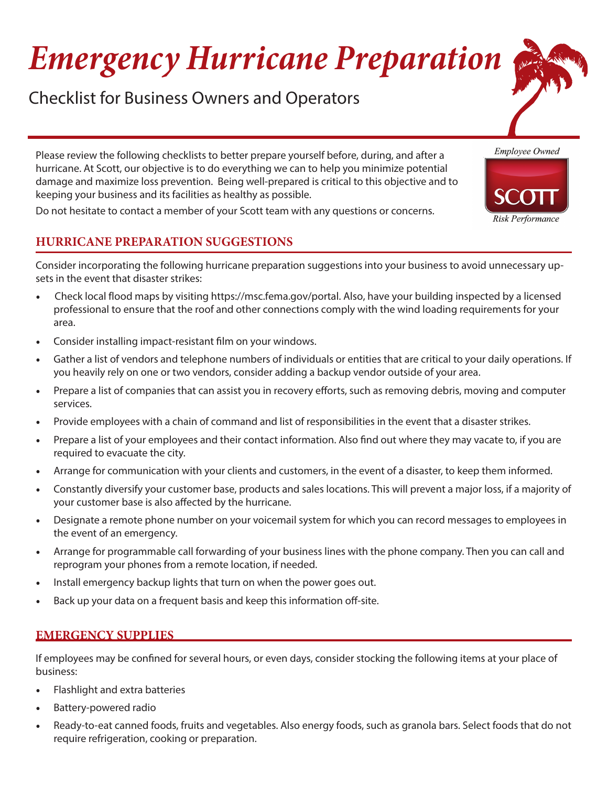# *Emergency Hurricane Preparation*

Checklist for Business Owners and Operators

Please review the following checklists to better prepare yourself before, during, and after a hurricane. At Scott, our objective is to do everything we can to help you minimize potential damage and maximize loss prevention. Being well-prepared is critical to this objective and to keeping your business and its facilities as healthy as possible.

Do not hesitate to contact a member of your Scott team with any questions or concerns.

## **HURRICANE PREPARATION SUGGESTIONS**

Consider incorporating the following hurricane preparation suggestions into your business to avoid unnecessary upsets in the event that disaster strikes:

- Check local flood maps by visiting <https://msc.fema.gov/portal>. Also, have your building inspected by a licensed professional to ensure that the roof and other connections comply with the wind loading requirements for your area.
- . Consider installing impact-resistant film on your windows.
- Gather a list of vendors and telephone numbers of individuals or entities that are critical to your daily operations. If you heavily rely on one or two vendors, consider adding a backup vendor outside of your area.
- Prepare a list of companies that can assist you in recovery efforts, such as removing debris, moving and computer services.
- Provide employees with a chain of command and list of responsibilities in the event that a disaster strikes.
- Prepare a list of your employees and their contact information. Also find out where they may vacate to, if you are required to evacuate the city.
- Arrange for communication with your clients and customers, in the event of a disaster, to keep them informed.
- Constantly diversify your customer base, products and sales locations. This will prevent a major loss, if a majority of your customer base is also affected by the hurricane.
- Designate a remote phone number on your voicemail system for which you can record messages to employees in the event of an emergency.
- Arrange for programmable call forwarding of your business lines with the phone company. Then you can call and reprogram your phones from a remote location, if needed.
- Install emergency backup lights that turn on when the power goes out.
- Back up your data on a frequent basis and keep this information off-site.

#### **EMERGENCY SUPPLIES**

If employees may be confined for several hours, or even days, consider stocking the following items at your place of business:

- Flashlight and extra batteries
- Battery-powered radio
- Ready-to-eat canned foods, fruits and vegetables. Also energy foods, such as granola bars. Select foods that do not require refrigeration, cooking or preparation.



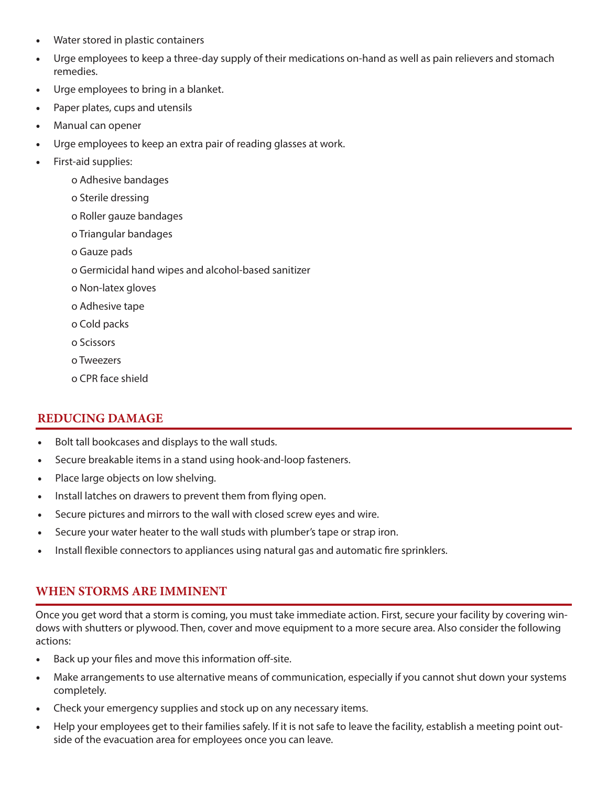- Water stored in plastic containers
- Urge employees to keep a three-day supply of their medications on-hand as well as pain relievers and stomach remedies.
- Urge employees to bring in a blanket.
- Paper plates, cups and utensils
- Manual can opener
- Urge employees to keep an extra pair of reading glasses at work.
- First-aid supplies:
	- o Adhesive bandages
	- o Sterile dressing
	- o Roller gauze bandages
	- o Triangular bandages
	- o Gauze pads
	- o Germicidal hand wipes and alcohol-based sanitizer
	- o Non-latex gloves
	- o Adhesive tape
	- o Cold packs
	- o Scissors
	- o Tweezers
	- o CPR face shield

#### **REDUCING DAMAGE**

- Bolt tall bookcases and displays to the wall studs.
- Secure breakable items in a stand using hook-and-loop fasteners.
- Place large objects on low shelving.
- Install latches on drawers to prevent them from flying open.
- Secure pictures and mirrors to the wall with closed screw eyes and wire.
- Secure your water heater to the wall studs with plumber's tape or strap iron.
- Install flexible connectors to appliances using natural gas and automatic fire sprinklers.

#### **WHEN STORMS ARE IMMINENT**

Once you get word that a storm is coming, you must take immediate action. First, secure your facility by covering windows with shutters or plywood. Then, cover and move equipment to a more secure area. Also consider the following actions:

- Back up your files and move this information off-site.
- Make arrangements to use alternative means of communication, especially if you cannot shut down your systems completely.
- Check your emergency supplies and stock up on any necessary items.
- Help your employees get to their families safely. If it is not safe to leave the facility, establish a meeting point outside of the evacuation area for employees once you can leave.